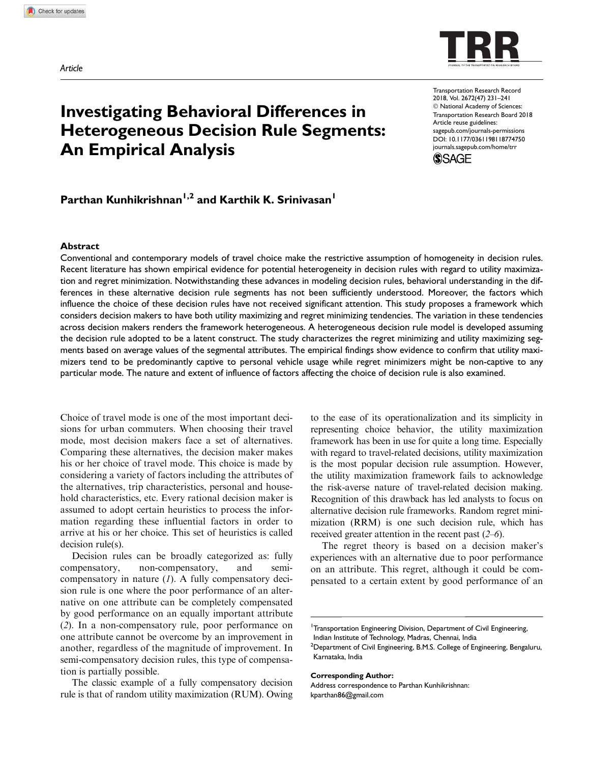

# Investigating Behavioral Differences in Heterogeneous Decision Rule Segments: An Empirical Analysis

Transportation Research Record 2018, Vol. 2672(47) 231–241  $©$  National Academy of Sciences: Transportation Research Board 2018 Article reuse guidelines: sagepub.com/journals-permissions DOI: 10.1177/0361198118774750 journals.sagepub.com/home/trr



## Parthan Kunhikrishnan<sup>1,2</sup> and Karthik K. Srinivasan<sup>1</sup>

#### Abstract

Conventional and contemporary models of travel choice make the restrictive assumption of homogeneity in decision rules. Recent literature has shown empirical evidence for potential heterogeneity in decision rules with regard to utility maximization and regret minimization. Notwithstanding these advances in modeling decision rules, behavioral understanding in the differences in these alternative decision rule segments has not been sufficiently understood. Moreover, the factors which influence the choice of these decision rules have not received significant attention. This study proposes a framework which considers decision makers to have both utility maximizing and regret minimizing tendencies. The variation in these tendencies across decision makers renders the framework heterogeneous. A heterogeneous decision rule model is developed assuming the decision rule adopted to be a latent construct. The study characterizes the regret minimizing and utility maximizing segments based on average values of the segmental attributes. The empirical findings show evidence to confirm that utility maximizers tend to be predominantly captive to personal vehicle usage while regret minimizers might be non-captive to any particular mode. The nature and extent of influence of factors affecting the choice of decision rule is also examined.

Choice of travel mode is one of the most important decisions for urban commuters. When choosing their travel mode, most decision makers face a set of alternatives. Comparing these alternatives, the decision maker makes his or her choice of travel mode. This choice is made by considering a variety of factors including the attributes of the alternatives, trip characteristics, personal and household characteristics, etc. Every rational decision maker is assumed to adopt certain heuristics to process the information regarding these influential factors in order to arrive at his or her choice. This set of heuristics is called decision rule(s).

Decision rules can be broadly categorized as: fully compensatory, non-compensatory, and semicompensatory in nature (*1*). A fully compensatory decision rule is one where the poor performance of an alternative on one attribute can be completely compensated by good performance on an equally important attribute (*2*). In a non-compensatory rule, poor performance on one attribute cannot be overcome by an improvement in another, regardless of the magnitude of improvement. In semi-compensatory decision rules, this type of compensation is partially possible.

The classic example of a fully compensatory decision rule is that of random utility maximization (RUM). Owing to the ease of its operationalization and its simplicity in representing choice behavior, the utility maximization framework has been in use for quite a long time. Especially with regard to travel-related decisions, utility maximization is the most popular decision rule assumption. However, the utility maximization framework fails to acknowledge the risk-averse nature of travel-related decision making. Recognition of this drawback has led analysts to focus on alternative decision rule frameworks. Random regret minimization (RRM) is one such decision rule, which has received greater attention in the recent past (*2*–*6*).

The regret theory is based on a decision maker's experiences with an alternative due to poor performance on an attribute. This regret, although it could be compensated to a certain extent by good performance of an

#### Corresponding Author:

<sup>&</sup>lt;sup>1</sup>Transportation Engineering Division, Department of Civil Engineering,

Indian Institute of Technology, Madras, Chennai, India

<sup>&</sup>lt;sup>2</sup>Department of Civil Engineering, B.M.S. College of Engineering, Bengaluru, Karnataka, India

Address correspondence to Parthan Kunhikrishnan: kparthan86@gmail.com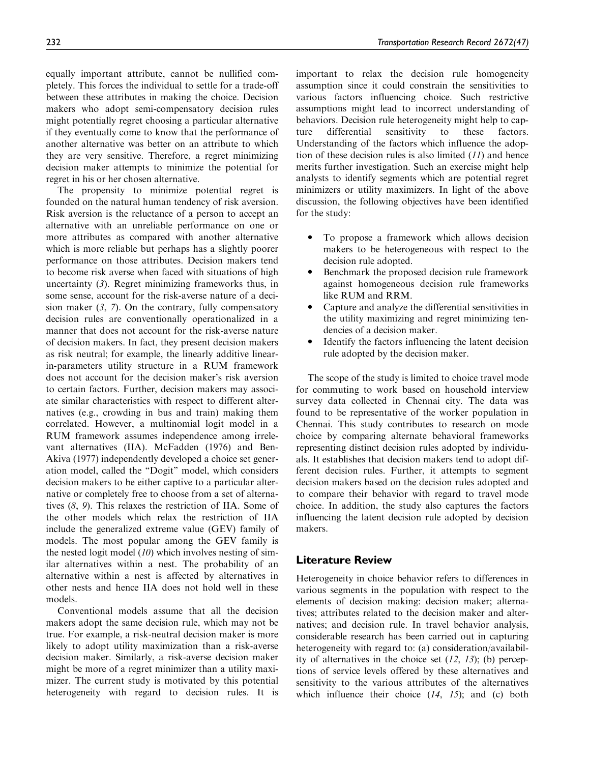equally important attribute, cannot be nullified completely. This forces the individual to settle for a trade-off between these attributes in making the choice. Decision makers who adopt semi-compensatory decision rules might potentially regret choosing a particular alternative if they eventually come to know that the performance of another alternative was better on an attribute to which they are very sensitive. Therefore, a regret minimizing decision maker attempts to minimize the potential for regret in his or her chosen alternative.

The propensity to minimize potential regret is founded on the natural human tendency of risk aversion. Risk aversion is the reluctance of a person to accept an alternative with an unreliable performance on one or more attributes as compared with another alternative which is more reliable but perhaps has a slightly poorer performance on those attributes. Decision makers tend to become risk averse when faced with situations of high uncertainty (*3*). Regret minimizing frameworks thus, in some sense, account for the risk-averse nature of a decision maker (*3*, *7*). On the contrary, fully compensatory decision rules are conventionally operationalized in a manner that does not account for the risk-averse nature of decision makers. In fact, they present decision makers as risk neutral; for example, the linearly additive linearin-parameters utility structure in a RUM framework does not account for the decision maker's risk aversion to certain factors. Further, decision makers may associate similar characteristics with respect to different alternatives (e.g., crowding in bus and train) making them correlated. However, a multinomial logit model in a RUM framework assumes independence among irrelevant alternatives (IIA). McFadden (1976) and Ben-Akiva (1977) independently developed a choice set generation model, called the ''Dogit'' model, which considers decision makers to be either captive to a particular alternative or completely free to choose from a set of alternatives (*8*, *9*). This relaxes the restriction of IIA. Some of the other models which relax the restriction of IIA include the generalized extreme value (GEV) family of models. The most popular among the GEV family is the nested logit model (*10*) which involves nesting of similar alternatives within a nest. The probability of an alternative within a nest is affected by alternatives in other nests and hence IIA does not hold well in these models.

Conventional models assume that all the decision makers adopt the same decision rule, which may not be true. For example, a risk-neutral decision maker is more likely to adopt utility maximization than a risk-averse decision maker. Similarly, a risk-averse decision maker might be more of a regret minimizer than a utility maximizer. The current study is motivated by this potential heterogeneity with regard to decision rules. It is important to relax the decision rule homogeneity assumption since it could constrain the sensitivities to various factors influencing choice. Such restrictive assumptions might lead to incorrect understanding of behaviors. Decision rule heterogeneity might help to capture differential sensitivity to these factors. Understanding of the factors which influence the adoption of these decision rules is also limited (*11*) and hence merits further investigation. Such an exercise might help analysts to identify segments which are potential regret minimizers or utility maximizers. In light of the above discussion, the following objectives have been identified for the study:

- To propose a framework which allows decision makers to be heterogeneous with respect to the decision rule adopted.
- $\bullet$  Benchmark the proposed decision rule framework against homogeneous decision rule frameworks like RUM and RRM.
- $\bullet$  Capture and analyze the differential sensitivities in the utility maximizing and regret minimizing tendencies of a decision maker.
- $\bullet$  Identify the factors influencing the latent decision rule adopted by the decision maker.

The scope of the study is limited to choice travel mode for commuting to work based on household interview survey data collected in Chennai city. The data was found to be representative of the worker population in Chennai. This study contributes to research on mode choice by comparing alternate behavioral frameworks representing distinct decision rules adopted by individuals. It establishes that decision makers tend to adopt different decision rules. Further, it attempts to segment decision makers based on the decision rules adopted and to compare their behavior with regard to travel mode choice. In addition, the study also captures the factors influencing the latent decision rule adopted by decision makers.

## Literature Review

Heterogeneity in choice behavior refers to differences in various segments in the population with respect to the elements of decision making: decision maker; alternatives; attributes related to the decision maker and alternatives; and decision rule. In travel behavior analysis, considerable research has been carried out in capturing heterogeneity with regard to: (a) consideration/availability of alternatives in the choice set (*12*, *13*); (b) perceptions of service levels offered by these alternatives and sensitivity to the various attributes of the alternatives which influence their choice (*14*, *15*); and (c) both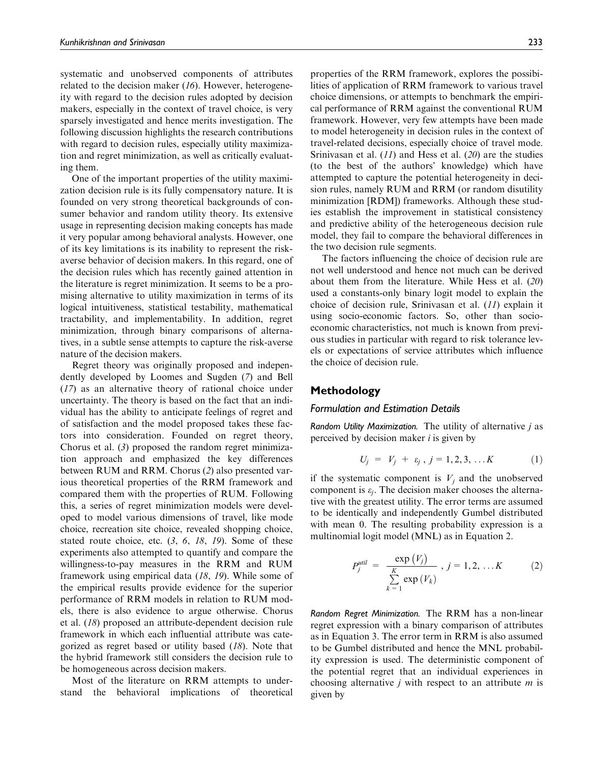systematic and unobserved components of attributes related to the decision maker (*16*). However, heterogeneity with regard to the decision rules adopted by decision makers, especially in the context of travel choice, is very sparsely investigated and hence merits investigation. The following discussion highlights the research contributions with regard to decision rules, especially utility maximization and regret minimization, as well as critically evaluating them.

One of the important properties of the utility maximization decision rule is its fully compensatory nature. It is founded on very strong theoretical backgrounds of consumer behavior and random utility theory. Its extensive usage in representing decision making concepts has made it very popular among behavioral analysts. However, one of its key limitations is its inability to represent the riskaverse behavior of decision makers. In this regard, one of the decision rules which has recently gained attention in the literature is regret minimization. It seems to be a promising alternative to utility maximization in terms of its logical intuitiveness, statistical testability, mathematical tractability, and implementability. In addition, regret minimization, through binary comparisons of alternatives, in a subtle sense attempts to capture the risk-averse nature of the decision makers.

Regret theory was originally proposed and independently developed by Loomes and Sugden (*7*) and Bell (*17*) as an alternative theory of rational choice under uncertainty. The theory is based on the fact that an individual has the ability to anticipate feelings of regret and of satisfaction and the model proposed takes these factors into consideration. Founded on regret theory, Chorus et al. (*3*) proposed the random regret minimization approach and emphasized the key differences between RUM and RRM. Chorus (*2*) also presented various theoretical properties of the RRM framework and compared them with the properties of RUM. Following this, a series of regret minimization models were developed to model various dimensions of travel, like mode choice, recreation site choice, revealed shopping choice, stated route choice, etc. (*3*, *6*, *18*, *19*). Some of these experiments also attempted to quantify and compare the willingness-to-pay measures in the RRM and RUM framework using empirical data (*18*, *19*). While some of the empirical results provide evidence for the superior performance of RRM models in relation to RUM models, there is also evidence to argue otherwise. Chorus et al. (*18*) proposed an attribute-dependent decision rule framework in which each influential attribute was categorized as regret based or utility based (*18*). Note that the hybrid framework still considers the decision rule to be homogeneous across decision makers.

Most of the literature on RRM attempts to understand the behavioral implications of theoretical properties of the RRM framework, explores the possibilities of application of RRM framework to various travel choice dimensions, or attempts to benchmark the empirical performance of RRM against the conventional RUM framework. However, very few attempts have been made to model heterogeneity in decision rules in the context of travel-related decisions, especially choice of travel mode. Srinivasan et al. (*11*) and Hess et al. (*20*) are the studies (to the best of the authors' knowledge) which have attempted to capture the potential heterogeneity in decision rules, namely RUM and RRM (or random disutility minimization [RDM]) frameworks. Although these studies establish the improvement in statistical consistency and predictive ability of the heterogeneous decision rule model, they fail to compare the behavioral differences in the two decision rule segments.

The factors influencing the choice of decision rule are not well understood and hence not much can be derived about them from the literature. While Hess et al. (*20*) used a constants-only binary logit model to explain the choice of decision rule, Srinivasan et al. (*11*) explain it using socio-economic factors. So, other than socioeconomic characteristics, not much is known from previous studies in particular with regard to risk tolerance levels or expectations of service attributes which influence the choice of decision rule.

## Methodology

#### Formulation and Estimation Details

Random Utility Maximization. The utility of alternative *j* as perceived by decision maker *i* is given by

$$
U_j = V_j + \varepsilon_j, j = 1, 2, 3, \dots K \tag{1}
$$

if the systematic component is  $V_j$  and the unobserved component is  $\varepsilon_j$ . The decision maker chooses the alternative with the greatest utility. The error terms are assumed to be identically and independently Gumbel distributed with mean 0. The resulting probability expression is a multinomial logit model (MNL) as in Equation 2.

$$
P_j^{\text{util}} = \frac{\exp(V_j)}{\sum\limits_{k=1}^K \exp(V_k)}, j = 1, 2, \dots K \qquad (2)
$$

Random Regret Minimization. The RRM has a non-linear regret expression with a binary comparison of attributes as in Equation 3. The error term in RRM is also assumed to be Gumbel distributed and hence the MNL probability expression is used. The deterministic component of the potential regret that an individual experiences in choosing alternative *j* with respect to an attribute *m* is given by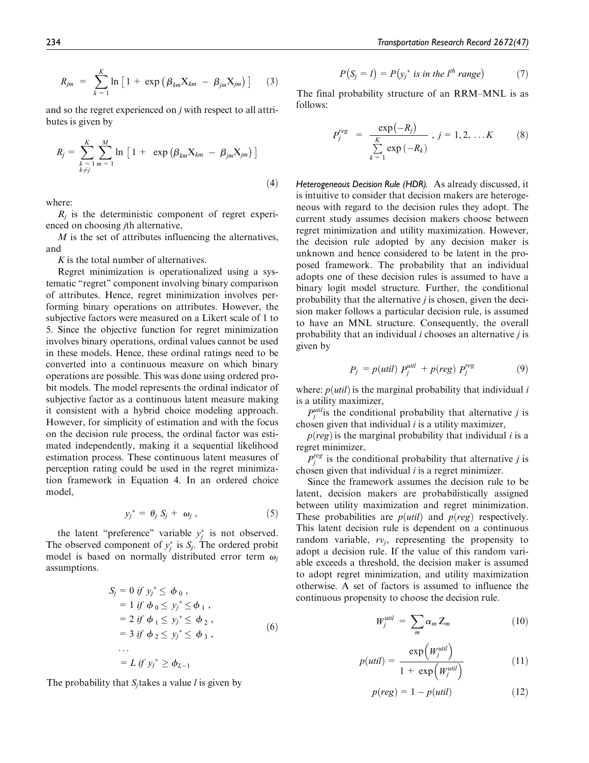$$
R_{jm} = \sum_{k=1}^{K} \ln \left[ 1 + \exp \left( \beta_{km} X_{km} - \beta_{jm} X_{jm} \right) \right]
$$
 (3)

and so the regret experienced on *j* with respect to all attributes is given by

$$
R_{j} = \sum_{\substack{k=1 \ k \neq j}}^{K} \sum_{m=1}^{M} \ln \left[ 1 + \exp \left( \beta_{km} X_{km} - \beta_{jm} X_{jm} \right) \right]
$$
\n(4)

where:

 $R_j$  is the deterministic component of regret experienced on choosing *j*th alternative,

*M* is the set of attributes influencing the alternatives, and

*K* is the total number of alternatives.

Regret minimization is operationalized using a systematic ''regret'' component involving binary comparison of attributes. Hence, regret minimization involves performing binary operations on attributes. However, the subjective factors were measured on a Likert scale of 1 to 5. Since the objective function for regret minimization involves binary operations, ordinal values cannot be used in these models. Hence, these ordinal ratings need to be converted into a continuous measure on which binary operations are possible. This was done using ordered probit models. The model represents the ordinal indicator of subjective factor as a continuous latent measure making it consistent with a hybrid choice modeling approach. However, for simplicity of estimation and with the focus on the decision rule process, the ordinal factor was estimated independently, making it a sequential likelihood estimation process. These continuous latent measures of perception rating could be used in the regret minimization framework in Equation 4. In an ordered choice model,

$$
y_j^* = \theta_j S_j + \omega_j , \qquad (5)
$$

the latent "preference" variable  $y_j^*$  is not observed. The observed component of  $y_j^*$  is  $S_j$ . The ordered probit model is based on normally distributed error term  $\omega_i$ assumptions.

$$
S_j = 0 \text{ if } y_j^* \leq \phi_0, \n= 1 \text{ if } \phi_0 \leq y_j^* \leq \phi_1, \n= 2 \text{ if } \phi_1 \leq y_j^* \leq \phi_2, \n= 3 \text{ if } \phi_2 \leq y_j^* \leq \phi_3, \n\cdots \n= L \text{ if } y_j^* \geq \phi_{L-1}
$$
\n(6)

The probability that  $S_i$  takes a value *l* is given by

$$
P(S_j = l) = P(y_j^* \text{ is in the } l^{th} \text{ range}) \tag{7}
$$

The final probability structure of an RRM–MNL is as follows:

$$
P_j^{reg} = \frac{\exp(-R_j)}{\sum_{k=1}^{K} \exp(-R_k)}, j = 1, 2, ... K
$$
 (8)

Heterogeneous Decision Rule (HDR). As already discussed, it is intuitive to consider that decision makers are heterogeneous with regard to the decision rules they adopt. The current study assumes decision makers choose between regret minimization and utility maximization. However, the decision rule adopted by any decision maker is unknown and hence considered to be latent in the proposed framework. The probability that an individual adopts one of these decision rules is assumed to have a binary logit model structure. Further, the conditional probability that the alternative *j* is chosen, given the decision maker follows a particular decision rule, is assumed to have an MNL structure. Consequently, the overall probability that an individual *i* chooses an alternative *j* is given by

$$
P_j = p(util) P_j^{util} + p(reg) P_j^{reg}
$$
 (9)

where:  $p (util)$  is the marginal probability that individual  $i$ is a utility maximizer,

 $P_j^{\text{util}}$  is the conditional probability that alternative *j* is chosen given that individual *i* is a utility maximizer,

 $p (reg)$  is the marginal probability that individual *i* is a regret minimizer,

 $P_j^{reg}$  is the conditional probability that alternative *j* is chosen given that individual *i* is a regret minimizer.

Since the framework assumes the decision rule to be latent, decision makers are probabilistically assigned between utility maximization and regret minimization. These probabilities are  $p (util)$  and  $p (reg)$  respectively. This latent decision rule is dependent on a continuous random variable,  $rv_j$ , representing the propensity to adopt a decision rule. If the value of this random variable exceeds a threshold, the decision maker is assumed to adopt regret minimization, and utility maximization otherwise. A set of factors is assumed to influence the continuous propensity to choose the decision rule.

$$
W_j^{util} = \sum_m \alpha_m Z_m \tag{10}
$$

$$
p(util) = \frac{\exp\left(W_j^{util}\right)}{1 + \exp\left(W_j^{util}\right)}
$$
(11)

$$
p(\text{reg}) = 1 - p(\text{util}) \tag{12}
$$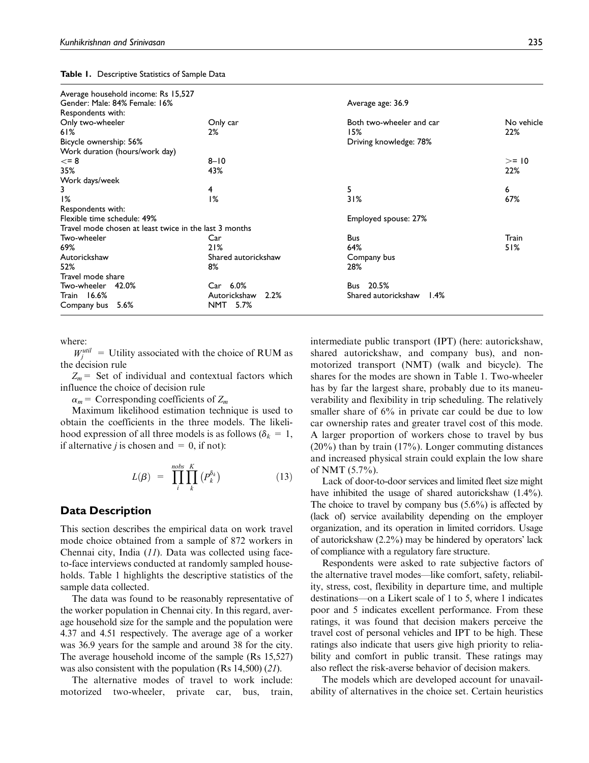| Average household income: Rs 15,527 |  |
|-------------------------------------|--|
| Gender: Male: 84% Female: 16%       |  |
| Respondents with:                   |  |

Table 1. Descriptive Statistics of Sample Data

| Gender: Male: 84% Female: 16%                          |                      | Average age: 36.9           |            |  |  |
|--------------------------------------------------------|----------------------|-----------------------------|------------|--|--|
| Respondents with:                                      |                      |                             |            |  |  |
| Only two-wheeler                                       | Only car             | Both two-wheeler and car    | No vehicle |  |  |
| 61%                                                    | 2%                   | 15%                         | 22%        |  |  |
| Bicycle ownership: 56%                                 |                      | Driving knowledge: 78%      |            |  |  |
| Work duration (hours/work day)                         |                      |                             |            |  |  |
| $\leq$ = 8                                             | $8 - 10$             |                             | $>= 10$    |  |  |
| 35%                                                    | 43%                  |                             | 22%        |  |  |
| Work days/week                                         |                      |                             |            |  |  |
| 3                                                      | 4                    | 5                           | 6          |  |  |
| 1%                                                     | 1%                   | 31%                         | 67%        |  |  |
| Respondents with:                                      |                      |                             |            |  |  |
| Flexible time schedule: 49%                            |                      | Employed spouse: 27%        |            |  |  |
| Travel mode chosen at least twice in the last 3 months |                      |                             |            |  |  |
| Two-wheeler                                            | Car                  | <b>Bus</b>                  | Train      |  |  |
| 69%                                                    | 21%                  | 64%                         | 51%        |  |  |
| Autorickshaw                                           | Shared autorickshaw  | Company bus                 |            |  |  |
| 52%                                                    | 8%                   | 28%                         |            |  |  |
| Travel mode share                                      |                      |                             |            |  |  |
| Two-wheeler<br>42.0%                                   | Car 6.0%             | 20.5%<br>Bus                |            |  |  |
| Train 16.6%                                            | Autorickshaw<br>2.2% | Shared autorickshaw<br>1.4% |            |  |  |
| Company bus 5.6%                                       | NMT 5.7%             |                             |            |  |  |

where:

 $W_j^{\text{util}} =$  Utility associated with the choice of RUM as the decision rule

 $Z_m$  = Set of individual and contextual factors which influence the choice of decision rule

 $\alpha_m$  = Corresponding coefficients of  $Z_m$ 

Maximum likelihood estimation technique is used to obtain the coefficients in the three models. The likelihood expression of all three models is as follows ( $\delta_k = 1$ , if alternative *j* is chosen and  $= 0$ , if not):

$$
L(\beta) = \prod_{i}^{nobs} \prod_{k}^{K} (P_k^{\delta_k})
$$
 (13)

## Data Description

This section describes the empirical data on work travel mode choice obtained from a sample of 872 workers in Chennai city, India (*11*). Data was collected using faceto-face interviews conducted at randomly sampled households. Table 1 highlights the descriptive statistics of the sample data collected.

The data was found to be reasonably representative of the worker population in Chennai city. In this regard, average household size for the sample and the population were 4.37 and 4.51 respectively. The average age of a worker was 36.9 years for the sample and around 38 for the city. The average household income of the sample (Rs 15,527) was also consistent with the population (Rs 14,500) (*21*).

The alternative modes of travel to work include: motorized two-wheeler, private car, bus, train, intermediate public transport (IPT) (here: autorickshaw, shared autorickshaw, and company bus), and nonmotorized transport (NMT) (walk and bicycle). The shares for the modes are shown in Table 1. Two-wheeler has by far the largest share, probably due to its maneuverability and flexibility in trip scheduling. The relatively smaller share of  $6\%$  in private car could be due to low car ownership rates and greater travel cost of this mode. A larger proportion of workers chose to travel by bus (20%) than by train (17%). Longer commuting distances and increased physical strain could explain the low share of NMT (5.7%).

Lack of door-to-door services and limited fleet size might have inhibited the usage of shared autorickshaw (1.4%). The choice to travel by company bus  $(5.6\%)$  is affected by (lack of) service availability depending on the employer organization, and its operation in limited corridors. Usage of autorickshaw (2.2%) may be hindered by operators' lack of compliance with a regulatory fare structure.

Respondents were asked to rate subjective factors of the alternative travel modes—like comfort, safety, reliability, stress, cost, flexibility in departure time, and multiple destinations—on a Likert scale of 1 to 5, where 1 indicates poor and 5 indicates excellent performance. From these ratings, it was found that decision makers perceive the travel cost of personal vehicles and IPT to be high. These ratings also indicate that users give high priority to reliability and comfort in public transit. These ratings may also reflect the risk-averse behavior of decision makers.

The models which are developed account for unavailability of alternatives in the choice set. Certain heuristics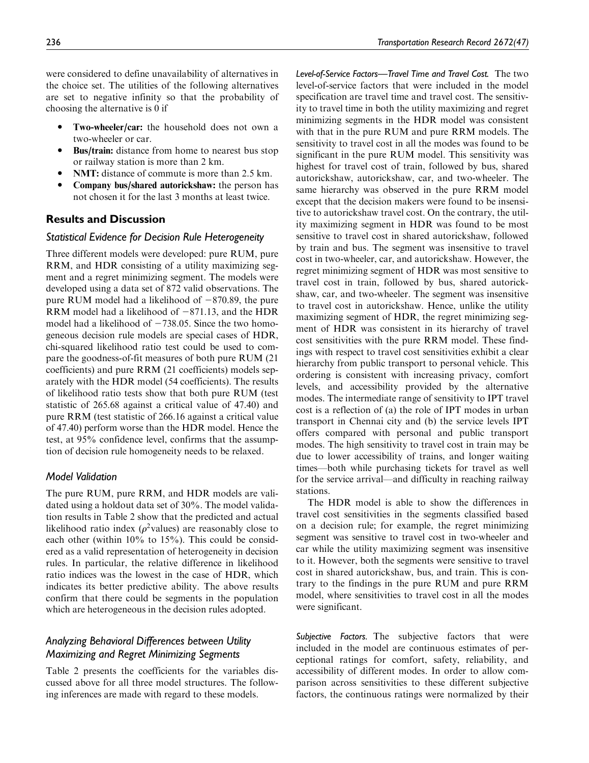were considered to define unavailability of alternatives in the choice set. The utilities of the following alternatives are set to negative infinity so that the probability of choosing the alternative is 0 if

- $\bullet$  Two-wheeler/car: the household does not own a two-wheeler or car.
- $\bullet$  Bus/train: distance from home to nearest bus stop or railway station is more than 2 km.
- NMT: distance of commute is more than 2.5 km.
- $\bullet$  Company bus/shared autorickshaw: the person has not chosen it for the last 3 months at least twice.

## Results and Discussion

## Statistical Evidence for Decision Rule Heterogeneity

Three different models were developed: pure RUM, pure RRM, and HDR consisting of a utility maximizing segment and a regret minimizing segment. The models were developed using a data set of 872 valid observations. The pure RUM model had a likelihood of  $-870.89$ , the pure RRM model had a likelihood of  $-871.13$ , and the HDR model had a likelihood of  $-738.05$ . Since the two homogeneous decision rule models are special cases of HDR, chi-squared likelihood ratio test could be used to compare the goodness-of-fit measures of both pure RUM (21 coefficients) and pure RRM (21 coefficients) models separately with the HDR model (54 coefficients). The results of likelihood ratio tests show that both pure RUM (test statistic of 265.68 against a critical value of 47.40) and pure RRM (test statistic of 266.16 against a critical value of 47.40) perform worse than the HDR model. Hence the test, at 95% confidence level, confirms that the assumption of decision rule homogeneity needs to be relaxed.

## Model Validation

The pure RUM, pure RRM, and HDR models are validated using a holdout data set of 30%. The model validation results in Table 2 show that the predicted and actual likelihood ratio index ( $\rho^2$ values) are reasonably close to each other (within 10% to 15%). This could be considered as a valid representation of heterogeneity in decision rules. In particular, the relative difference in likelihood ratio indices was the lowest in the case of HDR, which indicates its better predictive ability. The above results confirm that there could be segments in the population which are heterogeneous in the decision rules adopted.

## Analyzing Behavioral Differences between Utility Maximizing and Regret Minimizing Segments

Table 2 presents the coefficients for the variables discussed above for all three model structures. The following inferences are made with regard to these models.

Level-of-Service Factors—Travel Time and Travel Cost. The two level-of-service factors that were included in the model specification are travel time and travel cost. The sensitivity to travel time in both the utility maximizing and regret minimizing segments in the HDR model was consistent with that in the pure RUM and pure RRM models. The sensitivity to travel cost in all the modes was found to be significant in the pure RUM model. This sensitivity was highest for travel cost of train, followed by bus, shared autorickshaw, autorickshaw, car, and two-wheeler. The same hierarchy was observed in the pure RRM model except that the decision makers were found to be insensitive to autorickshaw travel cost. On the contrary, the utility maximizing segment in HDR was found to be most sensitive to travel cost in shared autorickshaw, followed by train and bus. The segment was insensitive to travel cost in two-wheeler, car, and autorickshaw. However, the regret minimizing segment of HDR was most sensitive to travel cost in train, followed by bus, shared autorickshaw, car, and two-wheeler. The segment was insensitive to travel cost in autorickshaw. Hence, unlike the utility maximizing segment of HDR, the regret minimizing segment of HDR was consistent in its hierarchy of travel cost sensitivities with the pure RRM model. These findings with respect to travel cost sensitivities exhibit a clear hierarchy from public transport to personal vehicle. This ordering is consistent with increasing privacy, comfort levels, and accessibility provided by the alternative modes. The intermediate range of sensitivity to IPT travel cost is a reflection of (a) the role of IPT modes in urban transport in Chennai city and (b) the service levels IPT offers compared with personal and public transport modes. The high sensitivity to travel cost in train may be due to lower accessibility of trains, and longer waiting times—both while purchasing tickets for travel as well for the service arrival—and difficulty in reaching railway stations.

The HDR model is able to show the differences in travel cost sensitivities in the segments classified based on a decision rule; for example, the regret minimizing segment was sensitive to travel cost in two-wheeler and car while the utility maximizing segment was insensitive to it. However, both the segments were sensitive to travel cost in shared autorickshaw, bus, and train. This is contrary to the findings in the pure RUM and pure RRM model, where sensitivities to travel cost in all the modes were significant.

Subjective Factors. The subjective factors that were included in the model are continuous estimates of perceptional ratings for comfort, safety, reliability, and accessibility of different modes. In order to allow comparison across sensitivities to these different subjective factors, the continuous ratings were normalized by their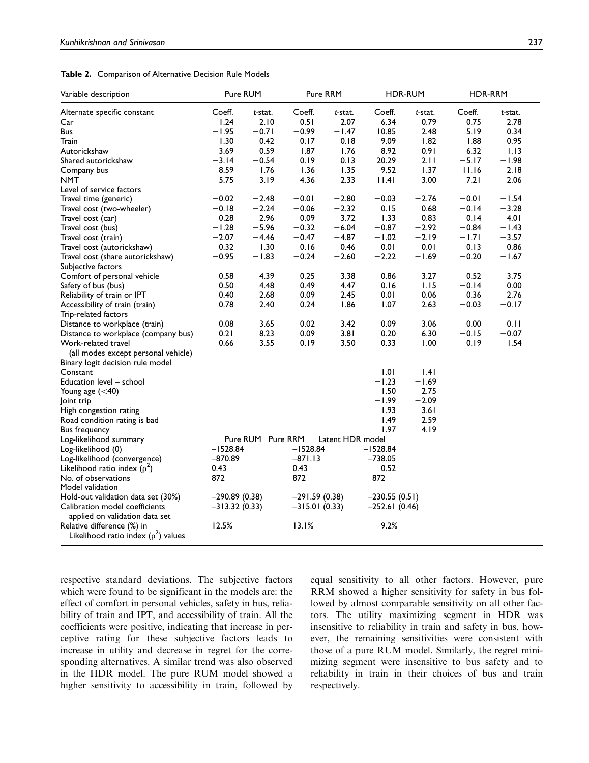|  |  | Table 2. Comparison of Alternative Decision Rule Models |  |  |  |
|--|--|---------------------------------------------------------|--|--|--|
|--|--|---------------------------------------------------------|--|--|--|

| Variable description                                                   | Pure RUM                              |         | Pure RRM        |         | <b>HDR-RUM</b>  |         | HDR-RRM  |         |  |
|------------------------------------------------------------------------|---------------------------------------|---------|-----------------|---------|-----------------|---------|----------|---------|--|
| Alternate specific constant                                            | Coeff.                                | t-stat. | Coeff.          | t-stat. | Coeff.          | t-stat. | Coeff.   | t-stat. |  |
| Car                                                                    | 1.24                                  | 2.10    | 0.51            | 2.07    | 6.34            | 0.79    | 0.75     | 2.78    |  |
| Bus                                                                    | $-1.95$                               | $-0.71$ | $-0.99$         | $-1.47$ | 10.85           | 2.48    | 5.19     | 0.34    |  |
| Train                                                                  | $-1.30$                               | $-0.42$ | $-0.17$         | $-0.18$ | 9.09            | 1.82    | $-1.88$  | $-0.95$ |  |
| Autorickshaw                                                           | $-3.69$                               | $-0.59$ | $-1.87$         | $-1.76$ | 8.92            | 0.91    | $-6.32$  | $-1.13$ |  |
| Shared autorickshaw                                                    | $-3.14$                               | $-0.54$ | 0.19            | 0.13    | 20.29           | 2.11    | $-5.17$  | $-1.98$ |  |
| Company bus                                                            | $-8.59$                               | $-1.76$ | $-1.36$         | $-1.35$ | 9.52            | 1.37    | $-11.16$ | $-2.18$ |  |
| <b>NMT</b>                                                             | 5.75                                  | 3.19    | 4.36            | 2.33    | 1.4             | 3.00    | 7.21     | 2.06    |  |
| Level of service factors                                               |                                       |         |                 |         |                 |         |          |         |  |
| Travel time (generic)                                                  | $-0.02$                               | $-2.48$ | $-0.01$         | $-2.80$ | $-0.03$         | $-2.76$ | $-0.01$  | $-1.54$ |  |
| Travel cost (two-wheeler)                                              | $-0.18$                               | $-2.24$ | $-0.06$         | $-2.32$ | 0.15            | 0.68    | $-0.14$  | $-3.28$ |  |
| Travel cost (car)                                                      | $-0.28$                               | $-2.96$ | $-0.09$         | $-3.72$ | $-1.33$         | $-0.83$ | $-0.14$  | $-4.01$ |  |
| Travel cost (bus)                                                      | $-1.28$                               | $-5.96$ | $-0.32$         | $-6.04$ | $-0.87$         | $-2.92$ | $-0.84$  | $-1.43$ |  |
| Travel cost (train)                                                    | $-2.07$                               | $-4.46$ | $-0.47$         | $-4.87$ | $-1.02$         | $-2.19$ | $-1.71$  | $-3.57$ |  |
| Travel cost (autorickshaw)                                             | $-0.32$                               | $-1.30$ | 0.16            | 0.46    | $-0.01$         | $-0.01$ | 0.13     | 0.86    |  |
| Travel cost (share autorickshaw)                                       | $-0.95$                               | $-1.83$ | $-0.24$         | $-2.60$ | $-2.22$         | $-1.69$ | $-0.20$  | $-1.67$ |  |
| Subjective factors                                                     |                                       |         |                 |         |                 |         |          |         |  |
| Comfort of personal vehicle                                            | 0.58                                  | 4.39    | 0.25            | 3.38    | 0.86            | 3.27    | 0.52     | 3.75    |  |
| Safety of bus (bus)                                                    | 0.50                                  | 4.48    | 0.49            | 4.47    | 0.16            | 1.15    | $-0.14$  | 0.00    |  |
| Reliability of train or IPT                                            | 0.40                                  | 2.68    | 0.09            | 2.45    | 0.01            | 0.06    | 0.36     | 2.76    |  |
| Accessibility of train (train)                                         | 0.78                                  | 2.40    | 0.24            | 1.86    | 1.07            | 2.63    | $-0.03$  | $-0.17$ |  |
| Trip-related factors                                                   |                                       |         |                 |         |                 |         |          |         |  |
| Distance to workplace (train)                                          | 0.08                                  | 3.65    | 0.02            | 3.42    | 0.09            | 3.06    | 0.00     | $-0.11$ |  |
| Distance to workplace (company bus)                                    | 0.21                                  | 8.23    | 0.09            | 3.81    | 0.20            | 6.30    | $-0.15$  | $-0.07$ |  |
| Work-related travel<br>(all modes except personal vehicle)             | $-0.66$                               | $-3.55$ | $-0.19$         | $-3.50$ | $-0.33$         | $-1.00$ | $-0.19$  | $-1.54$ |  |
| Binary logit decision rule model                                       |                                       |         |                 |         |                 |         |          |         |  |
| Constant                                                               |                                       |         |                 |         | $-1.01$         | $-1.41$ |          |         |  |
| Education level - school                                               |                                       |         |                 |         | $-1.23$         | $-1.69$ |          |         |  |
| Young age $(<$ 40)                                                     |                                       |         |                 |         | 1.50            | 2.75    |          |         |  |
| Joint trip                                                             |                                       |         |                 |         | $-1.99$         | $-2.09$ |          |         |  |
| High congestion rating                                                 |                                       |         |                 |         | $-1.93$         | $-3.61$ |          |         |  |
| Road condition rating is bad                                           |                                       |         |                 |         | $-1.49$         | $-2.59$ |          |         |  |
| Bus frequency                                                          |                                       |         |                 |         | 1.97            | 4.19    |          |         |  |
| Log-likelihood summary                                                 | Pure RUM Pure RRM<br>Latent HDR model |         |                 |         |                 |         |          |         |  |
| Log-likelihood (0)                                                     | $-1528.84$                            |         | $-1528.84$      |         | $-1528.84$      |         |          |         |  |
| Log-likelihood (convergence)                                           | $-870.89$                             |         | $-871.13$       |         | $-738.05$       |         |          |         |  |
| Likelihood ratio index ( $\rho^2$ )                                    | 0.43                                  |         | 0.43            |         | 0.52            |         |          |         |  |
| No. of observations<br>Model validation                                | 872                                   |         | 872             |         | 872             |         |          |         |  |
| Hold-out validation data set (30%)                                     | $-290.89(0.38)$                       |         | $-291.59(0.38)$ |         | $-230.55(0.51)$ |         |          |         |  |
| Calibration model coefficients<br>applied on validation data set       | $-313.32(0.33)$                       |         | $-315.01(0.33)$ |         | $-252.61(0.46)$ |         |          |         |  |
| Relative difference (%) in<br>Likelihood ratio index $(\rho^2)$ values | 12.5%                                 |         | 13.1%           |         | 9.2%            |         |          |         |  |

respective standard deviations. The subjective factors which were found to be significant in the models are: the effect of comfort in personal vehicles, safety in bus, reliability of train and IPT, and accessibility of train. All the coefficients were positive, indicating that increase in perceptive rating for these subjective factors leads to increase in utility and decrease in regret for the corresponding alternatives. A similar trend was also observed in the HDR model. The pure RUM model showed a higher sensitivity to accessibility in train, followed by equal sensitivity to all other factors. However, pure RRM showed a higher sensitivity for safety in bus followed by almost comparable sensitivity on all other factors. The utility maximizing segment in HDR was insensitive to reliability in train and safety in bus, however, the remaining sensitivities were consistent with those of a pure RUM model. Similarly, the regret minimizing segment were insensitive to bus safety and to reliability in train in their choices of bus and train respectively.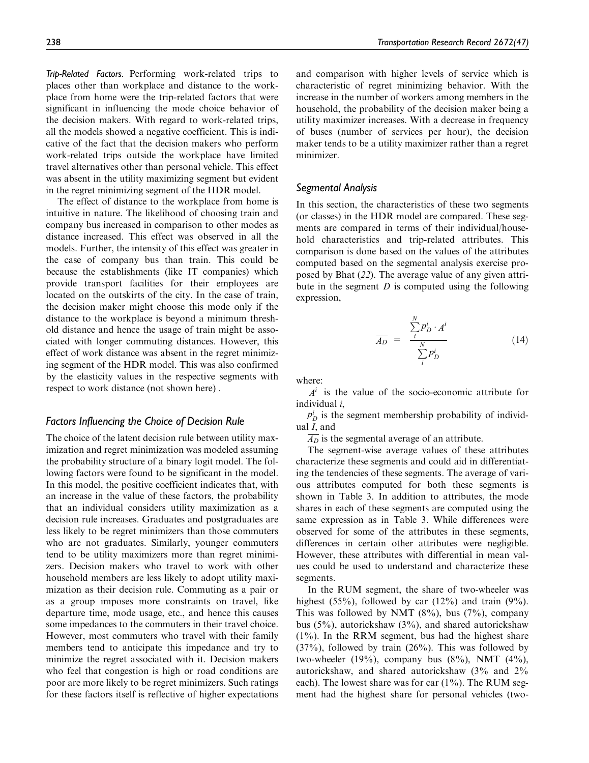Trip-Related Factors. Performing work-related trips to places other than workplace and distance to the workplace from home were the trip-related factors that were significant in influencing the mode choice behavior of the decision makers. With regard to work-related trips, all the models showed a negative coefficient. This is indicative of the fact that the decision makers who perform work-related trips outside the workplace have limited travel alternatives other than personal vehicle. This effect was absent in the utility maximizing segment but evident in the regret minimizing segment of the HDR model.

The effect of distance to the workplace from home is intuitive in nature. The likelihood of choosing train and company bus increased in comparison to other modes as distance increased. This effect was observed in all the models. Further, the intensity of this effect was greater in the case of company bus than train. This could be because the establishments (like IT companies) which provide transport facilities for their employees are located on the outskirts of the city. In the case of train, the decision maker might choose this mode only if the distance to the workplace is beyond a minimum threshold distance and hence the usage of train might be associated with longer commuting distances. However, this effect of work distance was absent in the regret minimizing segment of the HDR model. This was also confirmed by the elasticity values in the respective segments with respect to work distance (not shown here) .

#### Factors Influencing the Choice of Decision Rule

The choice of the latent decision rule between utility maximization and regret minimization was modeled assuming the probability structure of a binary logit model. The following factors were found to be significant in the model. In this model, the positive coefficient indicates that, with an increase in the value of these factors, the probability that an individual considers utility maximization as a decision rule increases. Graduates and postgraduates are less likely to be regret minimizers than those commuters who are not graduates. Similarly, younger commuters tend to be utility maximizers more than regret minimizers. Decision makers who travel to work with other household members are less likely to adopt utility maximization as their decision rule. Commuting as a pair or as a group imposes more constraints on travel, like departure time, mode usage, etc., and hence this causes some impedances to the commuters in their travel choice. However, most commuters who travel with their family members tend to anticipate this impedance and try to minimize the regret associated with it. Decision makers who feel that congestion is high or road conditions are poor are more likely to be regret minimizers. Such ratings for these factors itself is reflective of higher expectations and comparison with higher levels of service which is characteristic of regret minimizing behavior. With the increase in the number of workers among members in the household, the probability of the decision maker being a utility maximizer increases. With a decrease in frequency of buses (number of services per hour), the decision maker tends to be a utility maximizer rather than a regret minimizer.

## Segmental Analysis

In this section, the characteristics of these two segments (or classes) in the HDR model are compared. These segments are compared in terms of their individual/household characteristics and trip-related attributes. This comparison is done based on the values of the attributes computed based on the segmental analysis exercise proposed by Bhat (*22*). The average value of any given attribute in the segment *D* is computed using the following expression,

$$
\overline{A_D} = \frac{\sum_{i}^{N} p_D^i \cdot A^i}{\sum_{i}^{N} p_D^i}
$$
 (14)

where:

 $A<sup>i</sup>$  is the value of the socio-economic attribute for individual *i*,

 $p_D^i$  is the segment membership probability of individual *I*, and

 $\overline{A_D}$  is the segmental average of an attribute.

The segment-wise average values of these attributes characterize these segments and could aid in differentiating the tendencies of these segments. The average of various attributes computed for both these segments is shown in Table 3. In addition to attributes, the mode shares in each of these segments are computed using the same expression as in Table 3. While differences were observed for some of the attributes in these segments, differences in certain other attributes were negligible. However, these attributes with differential in mean values could be used to understand and characterize these segments.

In the RUM segment, the share of two-wheeler was highest  $(55\%)$ , followed by car  $(12\%)$  and train  $(9\%)$ . This was followed by NMT  $(8\%)$ , bus  $(7\%)$ , company bus (5%), autorickshaw (3%), and shared autorickshaw  $(1\%)$ . In the RRM segment, bus had the highest share  $(37\%)$ , followed by train  $(26\%)$ . This was followed by two-wheeler  $(19\%)$ , company bus  $(8\%)$ , NMT  $(4\%)$ , autorickshaw, and shared autorickshaw (3% and 2% each). The lowest share was for car  $(1\%)$ . The RUM segment had the highest share for personal vehicles (two-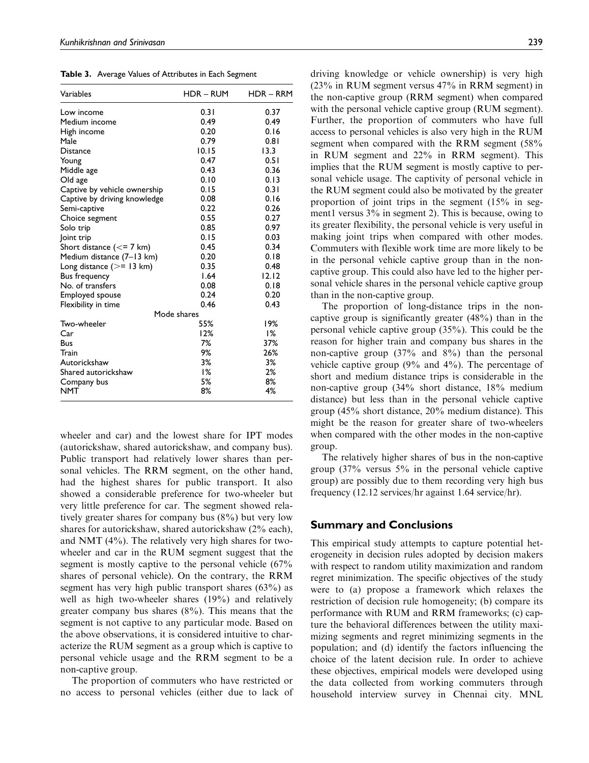Table 3. Average Values of Attributes in Each Segment

| Variables                                | <b>HDR – RUM</b> | $HDR - RRM$ |
|------------------------------------------|------------------|-------------|
| Low income                               | 0.31             | 0.37        |
| Medium income                            | 0.49             | 0.49        |
| High income                              | 0.20             | 0.16        |
| Male                                     | 0.79             | 0.81        |
| <b>Distance</b>                          | 10.15            | 13.3        |
| Young                                    | 0.47             | 0.51        |
| Middle age                               | 0.43             | 0.36        |
| Old age                                  | 0.10             | 0.13        |
| Captive by vehicle ownership             | 0.15             | 0.31        |
| Captive by driving knowledge             | 0.08             | 0.16        |
| Semi-captive                             | 0.22             | 0.26        |
| Choice segment                           | 0.55             | 0.27        |
| Solo trip                                | 0.85             | 0.97        |
| oint trip                                | 0.15             | 0.03        |
| Short distance $\left(\leq=7\right)$ km) | 0.45             | 0.34        |
| Medium distance (7-13 km)                | 0.20             | 0.18        |
| Long distance $(>= 13$ km)               | 0.35             | 0.48        |
| Bus frequency                            | 1.64             | 12.12       |
| No. of transfers                         | 0.08             | 0.18        |
| Employed spouse                          | 0.24             | 0.20        |
| Flexibility in time                      | 0.46             | 0.43        |
|                                          | Mode shares      |             |
| Two-wheeler                              | 55%              | 19%         |
| Car                                      | 12%              | 1%          |
| <b>Bus</b>                               | 7%               | 37%         |
| Train                                    | 9%               | 26%         |
| Autorickshaw                             | 3%               | 3%          |
| Shared autorickshaw                      | 1%               | 2%          |
| Company bus                              | 5%               | 8%          |
| <b>NMT</b>                               | 8%               | 4%          |

wheeler and car) and the lowest share for IPT modes (autorickshaw, shared autorickshaw, and company bus). Public transport had relatively lower shares than personal vehicles. The RRM segment, on the other hand, had the highest shares for public transport. It also showed a considerable preference for two-wheeler but very little preference for car. The segment showed relatively greater shares for company bus (8%) but very low shares for autorickshaw, shared autorickshaw (2% each), and NMT (4%). The relatively very high shares for twowheeler and car in the RUM segment suggest that the segment is mostly captive to the personal vehicle (67% shares of personal vehicle). On the contrary, the RRM segment has very high public transport shares (63%) as well as high two-wheeler shares (19%) and relatively greater company bus shares (8%). This means that the segment is not captive to any particular mode. Based on the above observations, it is considered intuitive to characterize the RUM segment as a group which is captive to personal vehicle usage and the RRM segment to be a non-captive group.

The proportion of commuters who have restricted or no access to personal vehicles (either due to lack of driving knowledge or vehicle ownership) is very high (23% in RUM segment versus 47% in RRM segment) in the non-captive group (RRM segment) when compared with the personal vehicle captive group (RUM segment). Further, the proportion of commuters who have full access to personal vehicles is also very high in the RUM segment when compared with the RRM segment (58% in RUM segment and 22% in RRM segment). This implies that the RUM segment is mostly captive to personal vehicle usage. The captivity of personal vehicle in the RUM segment could also be motivated by the greater proportion of joint trips in the segment (15% in segment1 versus 3% in segment 2). This is because, owing to its greater flexibility, the personal vehicle is very useful in making joint trips when compared with other modes. Commuters with flexible work time are more likely to be in the personal vehicle captive group than in the noncaptive group. This could also have led to the higher personal vehicle shares in the personal vehicle captive group than in the non-captive group.

The proportion of long-distance trips in the noncaptive group is significantly greater (48%) than in the personal vehicle captive group (35%). This could be the reason for higher train and company bus shares in the non-captive group (37% and 8%) than the personal vehicle captive group  $(9\%$  and  $4\%)$ . The percentage of short and medium distance trips is considerable in the non-captive group (34% short distance, 18% medium distance) but less than in the personal vehicle captive group (45% short distance, 20% medium distance). This might be the reason for greater share of two-wheelers when compared with the other modes in the non-captive group.

The relatively higher shares of bus in the non-captive group (37% versus 5% in the personal vehicle captive group) are possibly due to them recording very high bus frequency (12.12 services/hr against 1.64 service/hr).

## Summary and Conclusions

This empirical study attempts to capture potential heterogeneity in decision rules adopted by decision makers with respect to random utility maximization and random regret minimization. The specific objectives of the study were to (a) propose a framework which relaxes the restriction of decision rule homogeneity; (b) compare its performance with RUM and RRM frameworks; (c) capture the behavioral differences between the utility maximizing segments and regret minimizing segments in the population; and (d) identify the factors influencing the choice of the latent decision rule. In order to achieve these objectives, empirical models were developed using the data collected from working commuters through household interview survey in Chennai city. MNL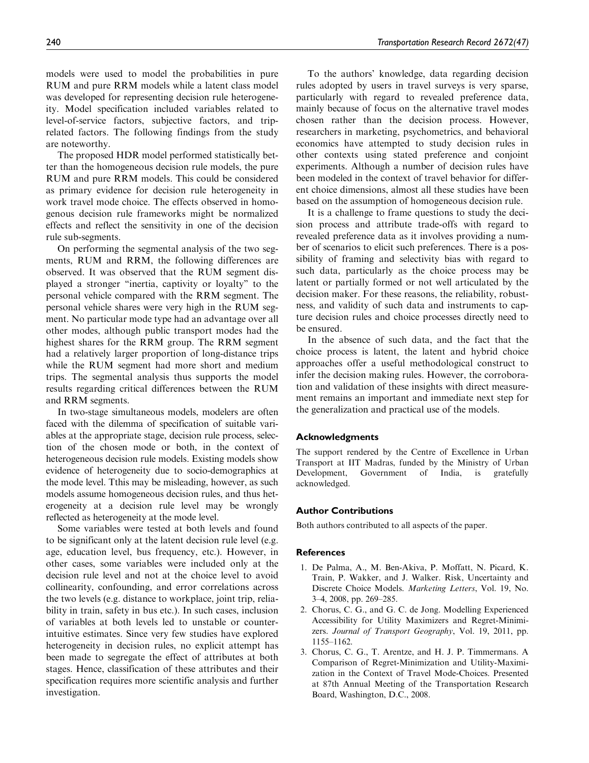models were used to model the probabilities in pure RUM and pure RRM models while a latent class model was developed for representing decision rule heterogeneity. Model specification included variables related to level-of-service factors, subjective factors, and triprelated factors. The following findings from the study are noteworthy.

The proposed HDR model performed statistically better than the homogeneous decision rule models, the pure RUM and pure RRM models. This could be considered as primary evidence for decision rule heterogeneity in work travel mode choice. The effects observed in homogenous decision rule frameworks might be normalized effects and reflect the sensitivity in one of the decision rule sub-segments.

On performing the segmental analysis of the two segments, RUM and RRM, the following differences are observed. It was observed that the RUM segment displayed a stronger ''inertia, captivity or loyalty'' to the personal vehicle compared with the RRM segment. The personal vehicle shares were very high in the RUM segment. No particular mode type had an advantage over all other modes, although public transport modes had the highest shares for the RRM group. The RRM segment had a relatively larger proportion of long-distance trips while the RUM segment had more short and medium trips. The segmental analysis thus supports the model results regarding critical differences between the RUM and RRM segments.

In two-stage simultaneous models, modelers are often faced with the dilemma of specification of suitable variables at the appropriate stage, decision rule process, selection of the chosen mode or both, in the context of heterogeneous decision rule models. Existing models show evidence of heterogeneity due to socio-demographics at the mode level. Tthis may be misleading, however, as such models assume homogeneous decision rules, and thus heterogeneity at a decision rule level may be wrongly reflected as heterogeneity at the mode level.

Some variables were tested at both levels and found to be significant only at the latent decision rule level (e.g. age, education level, bus frequency, etc.). However, in other cases, some variables were included only at the decision rule level and not at the choice level to avoid collinearity, confounding, and error correlations across the two levels (e.g. distance to workplace, joint trip, reliability in train, safety in bus etc.). In such cases, inclusion of variables at both levels led to unstable or counterintuitive estimates. Since very few studies have explored heterogeneity in decision rules, no explicit attempt has been made to segregate the effect of attributes at both stages. Hence, classification of these attributes and their specification requires more scientific analysis and further investigation.

To the authors' knowledge, data regarding decision rules adopted by users in travel surveys is very sparse, particularly with regard to revealed preference data, mainly because of focus on the alternative travel modes chosen rather than the decision process. However, researchers in marketing, psychometrics, and behavioral economics have attempted to study decision rules in other contexts using stated preference and conjoint experiments. Although a number of decision rules have been modeled in the context of travel behavior for different choice dimensions, almost all these studies have been based on the assumption of homogeneous decision rule.

It is a challenge to frame questions to study the decision process and attribute trade-offs with regard to revealed preference data as it involves providing a number of scenarios to elicit such preferences. There is a possibility of framing and selectivity bias with regard to such data, particularly as the choice process may be latent or partially formed or not well articulated by the decision maker. For these reasons, the reliability, robustness, and validity of such data and instruments to capture decision rules and choice processes directly need to be ensured.

In the absence of such data, and the fact that the choice process is latent, the latent and hybrid choice approaches offer a useful methodological construct to infer the decision making rules. However, the corroboration and validation of these insights with direct measurement remains an important and immediate next step for the generalization and practical use of the models.

#### Acknowledgments

The support rendered by the Centre of Excellence in Urban Transport at IIT Madras, funded by the Ministry of Urban Development, Government of India, is gratefully acknowledged.

#### Author Contributions

Both authors contributed to all aspects of the paper.

#### **References**

- 1. De Palma, A., M. Ben-Akiva, P. Moffatt, N. Picard, K. Train, P. Wakker, and J. Walker. Risk, Uncertainty and Discrete Choice Models. *Marketing Letters*, Vol. 19, No. 3–4, 2008, pp. 269–285.
- 2. Chorus, C. G., and G. C. de Jong. Modelling Experienced Accessibility for Utility Maximizers and Regret-Minimizers. *Journal of Transport Geography*, Vol. 19, 2011, pp. 1155–1162.
- 3. Chorus, C. G., T. Arentze, and H. J. P. Timmermans. A Comparison of Regret-Minimization and Utility-Maximization in the Context of Travel Mode-Choices. Presented at 87th Annual Meeting of the Transportation Research Board, Washington, D.C., 2008.